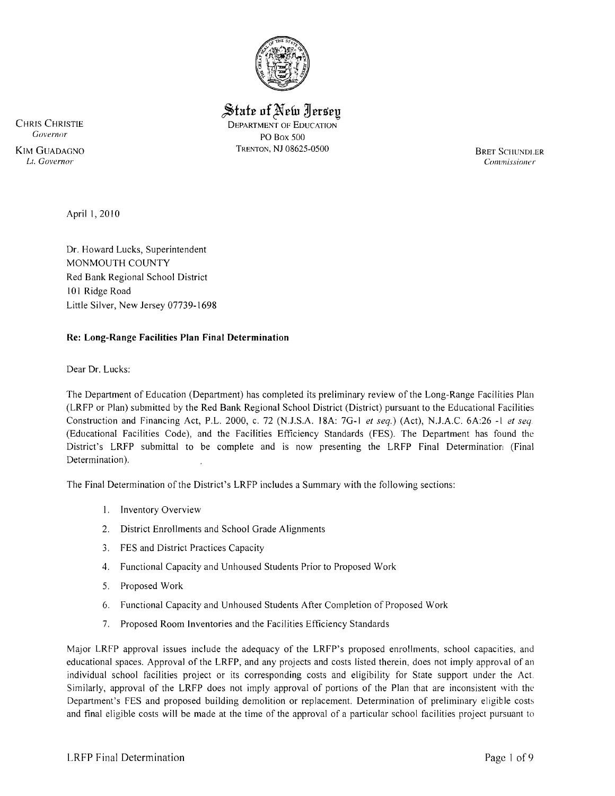

 $\hat{\mathcal{S}}$ tate of New Jersey CHRIS CHRISTIE DEPARTMENT OF EDUCATION COVERNOT CHRISTIC COVERNOT CHRISTIAN COVERNOT CHRISTIAN DEPARTMENT OF EDUCATION *Governor* PO Box 500

KIM GUADAGNO TRENTON, NJ 08625-0500 Lt. *Governor Commissioller* 

**BRET SCHUNDLER**<br>Commissioner

April 1,2010

Dr. Howard Lucks, Superintendent MONMOUTH COUNTY Red Bank Regional School District 101 Ridge Road Little Silver, New Jersey 07739-1698

# **Re: Long-Range Facilities Plan Final Determination**

Dear Dr. Lucks:

The Department of Education (Department) has completed its preliminary review of the Long-Range Facilities Plan (LRFP or Plan) submitted by the Red Bank Regional School District (District) pursuant to the Educational Facilities Construction and Financing Act, P.L. 2000, c. 72 (N.J.S.A. 18A: 7G-I *et seq.)* (Act), N.J.A.C. 6A:26 -1 *et seq*  (Educational Facilities Code), and the Facilities Efficiency Standards (FES). The Department has found the District's LRFP submittal to be complete and is now presenting the LRFP Final Determination (Final Determination).

The Final Determination of the District's LRFP includes a Summary with the following sections:

- I. Inventory Overview
- 2. District Enrollments and School Grade Alignments
- 3. FES and District Practices Capacity
- 4. Functional Capacity and Unhoused Students Prior to Proposed Work
- *S.* Proposed Work
- 6. Functional Capacity and Unhoused Students After Completion of Proposed Work
- 7. Proposed Room Inventories and the Facilities Efficiency Standards

Major LRFP approval issues include the adequacy of the LRFP's proposed enrollments, school capacities, and educational spaces. Approval of the LRFP, and any projects and costs listed therein, does not imply approval of an individual school facilities project or its corresponding costs and eligibility for State support under the Act Similarly, approval of the LRFP does not imply approval of portions of the Plan that are inconsistent with the Department's FES and proposed building demolition or replacement. Determination of preliminary eligible costs and final eligible costs will be made at the time of the approval of a particular school facilities project pursuant to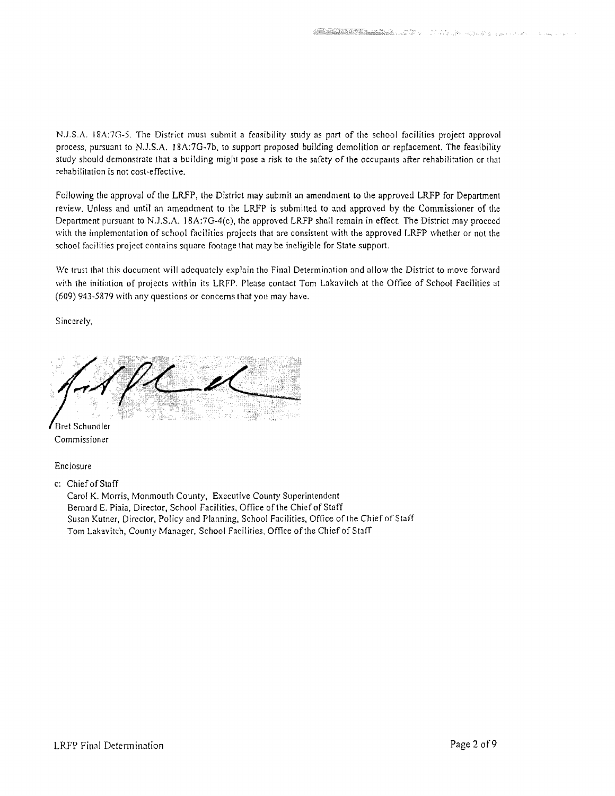N.J.S.A. 18A:7G-5. The District must submit a feasibility study as part of the school facilities project approval process, pursuant to N.J.S.A. 18A:70-7b, to support proposed building demolition or replacement. The feasibility study should demonstrate that a building might pose a risk to the safety of the occupants after rehabilitation or that rehabilitation is not cost-effective.

Following the approval of the LRFP, the District may submit an amendment to the approved LRFP for Department review. Unless and until an amendment to the LRFP is submitted to and approved by the Commissioner of the Department pursuant to NJ.S.A. 18A:7G-4(c), the approved LRFP shall remain in effect. The District may proceed with the implementation of school facilities projccts that are consistent with the approved LRFP whether or not the school facilities project contains square footage that may be ineligible for State support.

We trust that this document will adequately explain the Final Determination and allow the District to move forward with the initiation of projects within its LRFP. Please contact Tom Lakavitch at the Office of School Facilities at  $(609)$  943-5879 with any questions or concerns that you may have.

Sincerely,



Commissioner

#### Enclosure

c: Chief of Staff

Carol K. Morris, Monmouth County, Executive County Superintendent Bernard E. Piaia, Director, School Facilities, Office of the Chief of Staff Susan Kutner, Director, Policy and Planning, School Facilities, Office of the Chief of Staff Tom Lakavitch, County Manager, School Facilities, Office of the Chief of Staff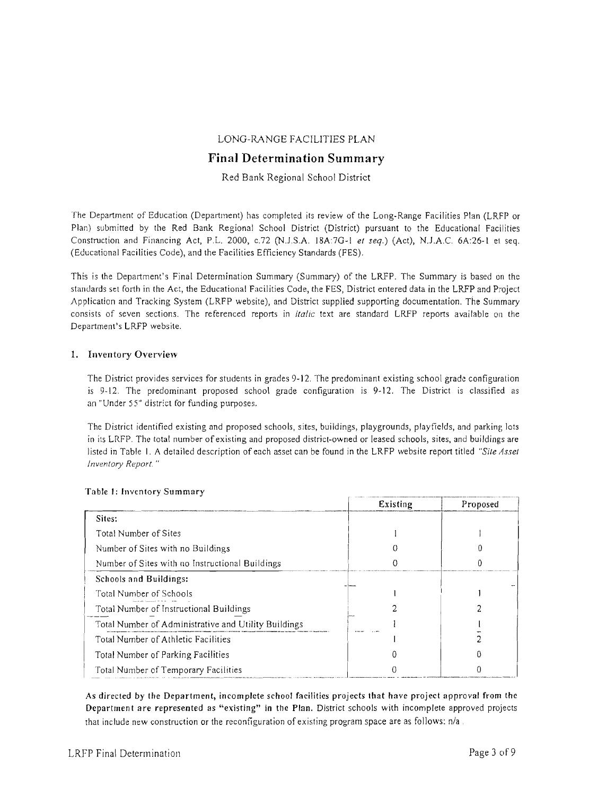#### LONG-RANGE FACILITIES PLAN

# **Final Determination Summary**

Red Bank Regional School District

The Department of Education (Department) has completed its review of the Long-Range Facilities Plan (LRFP or Plan) submitted by the Red Bank Regional School District (District) pursuant to the Educational Facilities Construction and Financing Act, P.L. 2000, c.72 (N.J.S.A. 18A".7G-1 *et seq.)* (Act), N.J.A.C. 6A:26-1 el seq. (Educational Facilities Code), and the Facilities Efficiency Standards (PES).

This is lhe Department's Final Determination Summary (Summary) of the LRFP. The Summary is based on the standards set forth in the Act, the Educational Facilities Code, the FES, District entered data in the LRFP and Project Applicalion and Tracking System (LRFP website), and District supplied supporting documentation. The Summary consists of seven sections. The referenced reports in *italic* text are standard LRFP reports available on the Department's LRFP website.

## 1. Inventory Overview

The District provides services for students in grades 9-12. The predominant existing school grade configuration is 9-12. The predominant proposed school grade configuration is 9-12. The District is classified as an "Under 55" district for funding purposes.

The District identified existing and proposed schools, sites, buildings, playgrounds, playfields, and parking lots in its LRFP. The total number of existing and proposed district-owned or leased schools, sites, and buildings are listed in Table I. A detailed description of each asset can be found in the LRFP website report titled *"Site Asset Inventory Report. "* 

|                                                      | Existing | Proposed |
|------------------------------------------------------|----------|----------|
| Sites:                                               |          |          |
| Total Number of Sites                                |          |          |
| Number of Sites with no Buildings                    |          |          |
| Number of Sites with no Instructional Buildings      |          |          |
| Schools and Buildings:                               |          |          |
| Total Number of Schools                              |          |          |
| Total Number of Instructional Buildings              |          |          |
| Total Number of Administrative and Utility Buildings |          |          |
| Total Number of Athletic Facilities                  |          | 2        |
| Total Number of Parking Facilities                   |          |          |
| Total Number of Temporary Facilities                 |          |          |

#### Table I: Inventory Summary

As directed by the Department, incomplete school facilities projects that have project approval from the Department are represented as "existing" in the Plan. District schools with incomplete approved projects that include new construction or the reconfiguration of existing program space are as follows:  $n/a$ .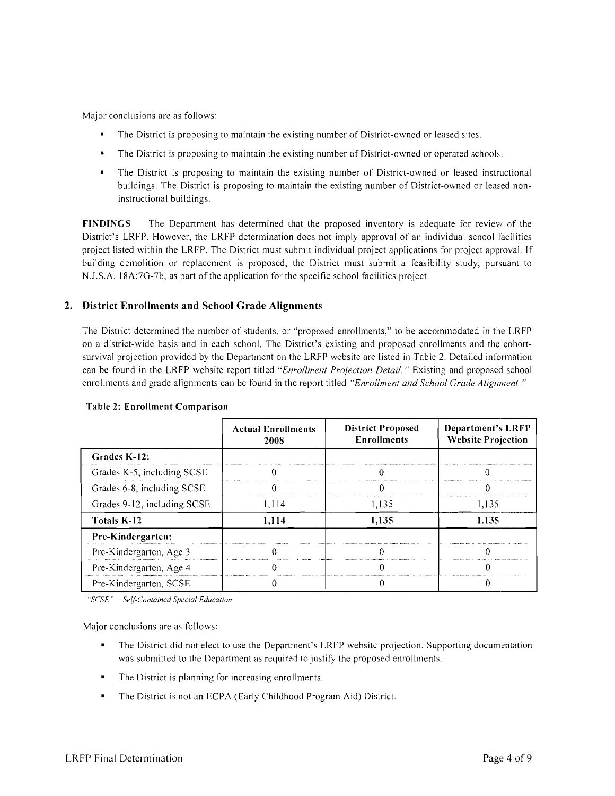Major conclusions are as follows:

- $\blacksquare$ The District is proposing to maintain the existing number of District-owned or leased sites.
- The District is proposing to maintain the existing number of District-owned or operated schools.
- The District is proposing to maintain the existing number of District-owned or leased instructional buildings. The District is proposing to maintain the existing number of District-owned or leased noninstructional buildings.

**FINDINGS** The Department has determined that the proposed inventory is adequate for review of the District's LRFP. However, the LRFP determination does not imply approval of an individual school facilities project listed within the LRFP. The District must submit individual project applications for project approval. If building demolition or replacement is proposed, the District must submit a feasibility study, pursuant to N.J.S.A. 18A:7G-7b, as part of the application for the specific school facilities project.

# **2. District Enrollments and School Grade Alignments**

The District determined the number of students. or "proposed enrollments," to be accommodated in the LRFP on a district-wide basis and in each school. The District's existing and proposed enrollments and the cohortsurvival projection provided by the Department on the LRFP website are listed in Table 2. Detailed information can be found in the LRFP website report titled *"Enrollment Projection Detail.* " Existing and proposed school enrollments and grade alignments can be found in the report titled *"Enrollment and School Grade Alignment. "* 

|                             | <b>Actual Enrollments</b><br>2008 | <b>District Proposed</b><br><b>Enrollments</b> | <b>Department's LRFP</b><br><b>Website Projection</b> |
|-----------------------------|-----------------------------------|------------------------------------------------|-------------------------------------------------------|
| Grades K-12:                |                                   |                                                |                                                       |
| Grades K-5, including SCSE  |                                   |                                                |                                                       |
| Grades 6-8, including SCSE  |                                   |                                                |                                                       |
| Grades 9-12, including SCSE | -14                               | 1.135                                          | 1.135                                                 |
| Totals K-12                 | 1.114                             | 1.135                                          | 1.135                                                 |
| Pre-Kindergarten:           |                                   |                                                |                                                       |
| Pre-Kindergarten, Age 3     |                                   |                                                |                                                       |
| Pre-Kindergarten, Age 4     |                                   |                                                |                                                       |
| Pre-Kindergarten, SCSE      |                                   |                                                |                                                       |

## **Table 2: Enrollment Comparison**

*"SCSI'''* 00 *Self-Contained Speciat EducatIOn* 

Major conclusions are as follows:

- $\blacksquare$ The District did not elect to use the Department's LRFP website projection. Supporting documentation was submitted to the Department as required to justify the proposed enrollments.
- The District is planning for increasing enrollments.
- The District is not an ECPA (Early Childhood Program Aid) District.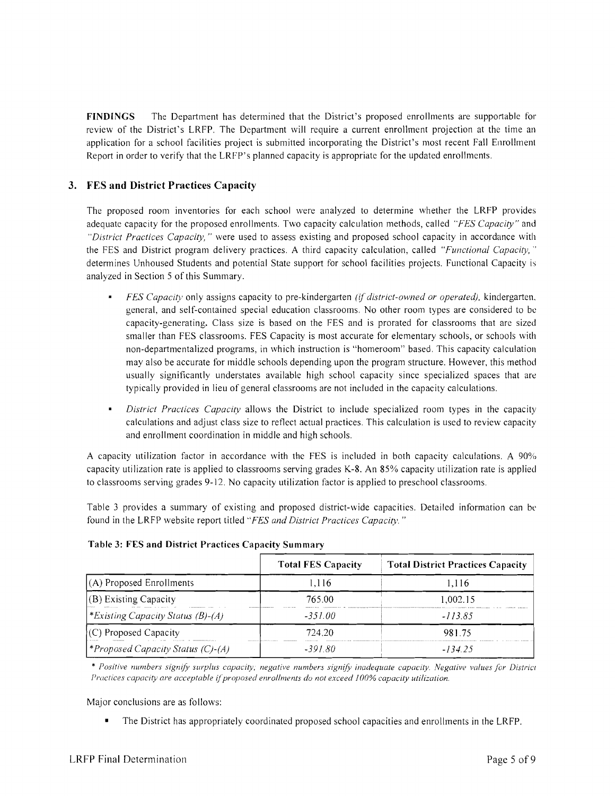FINDINGS The Department has determined that the District's proposed enrollments are supportable for review of the District's LRFP. The Department will require a current enrollment projection at the time an application for a school facilities project is submitted incorporating the District's most recent Fall Enrollment Report in order to verify that the LRFP's planned capacity is appropriate for the updated enrollments.

# 3. FES and District Practices Capacity

The proposed room inventories for each school were analyzed to determine whether the LRFP provides adequate capacity for the proposed enrollments. Two capacity calculation methods, called *"FES Capacity"* and *"District Practices Capacity,* " were used to assess existing and proposed school capacity in accordance with the FES and District program delivery practices. A third capacity calculation, called *"Functional Capacity, "*  determines Unhoused Students and potential State support for school facilities projects. Functional Capacity is analyzed in Section 5 of this Summary.

- *FES Capacity* only assigns capacity to pre-kindergarten *(if district-owned or operated)*, kindergarten, general, and self-contained special education classrooms. No other room types are considered to be capacity-generating. Class size is based on the FES and is prorated for classrooms that are sized smaller than FES classrooms. FES Capacity is most accurate for elementary schools, or schools with non-departmentalized programs, in which instruction is "homeroom" based. This capacity calculation may also be accurate for middle schools depending upon the program structure. However, this method usually significantly understates available high school capacity since specialized spaces that are typically provided in lieu of general classrooms are not included in the capacity calculations.
- *District Practices Capacity* allows the District to include specialized room types in the capacity calculations and adjust class size to reflect actual practices. This calculation is used to review capacity and enrollment coordination in middle and high schools.

A capacity utilization factor in accordance with the FES is included in both capacity calculations. A 90% capacity utilization rate is applied to classrooms serving grades K-8. An 85% capacity utilization rate is applied to classrooms serving grades 9-12. No capacity utilization factor is applied to preschool classrooms.

Table 3 provides a summary of existing and proposed district-wide capacities. Detailed information can bc found in the LRFP website report titled *"FES and District Practices Capacity. "* 

|                                          | <b>Total FES Capacity</b>        | <b>Total District Practices Capacity</b> |
|------------------------------------------|----------------------------------|------------------------------------------|
| $(A)$ Proposed Enrollments               | I.H6                             | 1.116                                    |
| (B) Existing Capacity                    | 765.00.                          | 1.002.15                                 |
| <i>*Existing Capacity Status (B)-(A)</i> | <br><br>1111214-014<br>$-351.00$ | $-11385$                                 |
| $(C)$ Proposed Capacity                  | 724.20                           | 98175                                    |
| Proposed Capacity Status (C)-(A)         | -39180                           | $-134.25$                                |

# Table 3: FES and District Practices Capacity Summary

\* *Positive numbers signify surplus capacity. negative numbers signify inadequate capacity. Negative values for Districi Practices capacity are acceptable if proposed enrollments do not exceed 100% capacity utilization.* 

Major conclusions are as follows:

• The District has appropriately coordinated proposed school capacities and enrollments in the LRFP.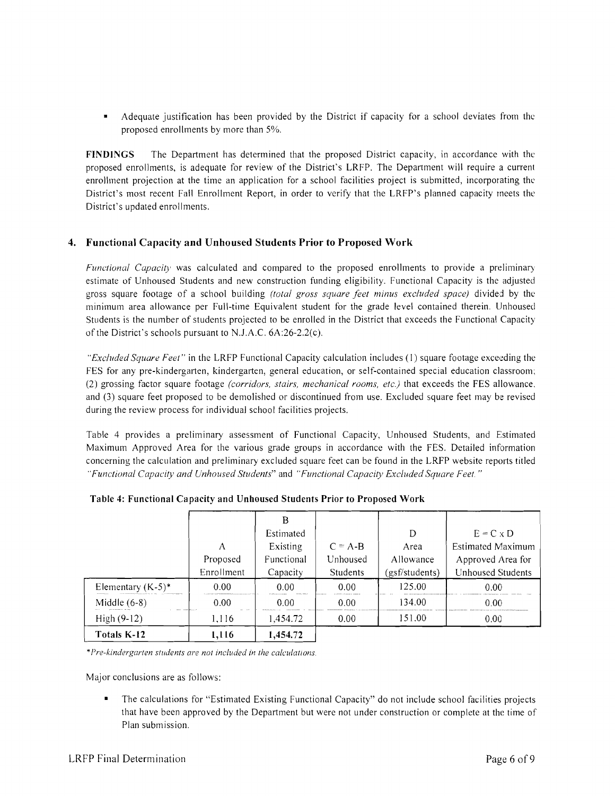• Adequate justification has been provided by the District if capacity for a school deviates from the proposed enrollments by more than 5%.

FINDINGS The Department has determined that the proposed District capacity, in accordance with the proposed enrollments, is adequate for review of the District's LRFP. The Department will require a current enrollment projection at the time an application for a school facilities project is submitted, incorporating the District's most recent Fall Enrollment Report, in order to verify that the LRFP's planned capacity meets the District's updated enrollments.

## 4. Functional Capacity and Unhoused Students Prior to Proposed Work

*Functional Capacity* was calculated and compared to the proposed enrollments to provide a preliminary estimate of Unhoused Students and new construction funding eligibility. Functional Capacity is the adjusted gross square footage of a school building *(total gross square feet minus excluded space)* divided by the minimum area allowance per Full-time Equivalent student for the grade level contained therein. Unhoused Students is the number of students projected to be enrolled in the District that exceeds the Functional Capacity of the District's schools pursuant to N.J.A.C. 6A:26-2.2(c).

*··Excluded Square Feet i* in the LRFP Functional Capacity calculation includes (1) square footage exceeding the FES for any pre-kindergarten, kindergarten, general education, or self-contained special education classroom: (2) grossing factor square footage *(corridors, stairs, mechanical rooms, etc.)* that exceeds the FES allowance. and (3) square feet proposed to be demolished or discontinued from use. Excluded square feet may be revised during the review process for individual school facilities projects.

Table 4 provides a preliminary assessment of Functional Capacity, Unhoused Students, and Estimated Maximum Approved Area for the various grade groups in accordance with the FES. Detailed information concerning the calculation and preliminary excluded square feet can be found in the LRFP website reports titled <sup>\*</sup> *Functional Capacity and Unhoused Students*" and "*Functional Capacity Excluded Square Feet.*"

|                                          |            | в          |                 |                |                          |
|------------------------------------------|------------|------------|-----------------|----------------|--------------------------|
|                                          |            | Estimated  |                 | D              | $E = C \times D$         |
|                                          | А          | Existing   | $C = A-B$       | Area           | <b>Estimated Maximum</b> |
|                                          | Proposed   | Functional | Unhoused        | Allowance      | Approved Area for        |
|                                          | Enrollment | Capacity   | <b>Students</b> | (gsf/students) | Unhoused Students        |
| Elementary $(K-5)^*$                     | 0.00       | 0.00       | 0.00            | 125.00         | 0.00                     |
| Middle $(6-8)$<br>and the complete state | 0.00       | 0.00       | 0.00            | 134.00         | 0.00                     |
| High $(9-12)$                            | 1,116      | 1,454.72   | 0.00            | 151.00         | 0.00                     |
| Totals K-12                              | 1,116      | 1.454.72   |                 |                |                          |

## Table 4: Functional Capacity and Unhoused Students Prior to Proposed Work

*\*Pre-kindergarten students are not included in the calculations.* 

Major conclusions are as follows:

The calculations for "Estimated Existing Functional Capacity" do not include school facilities projects that have been approved by the Department but were not under construction or complete at the time of Plan submission.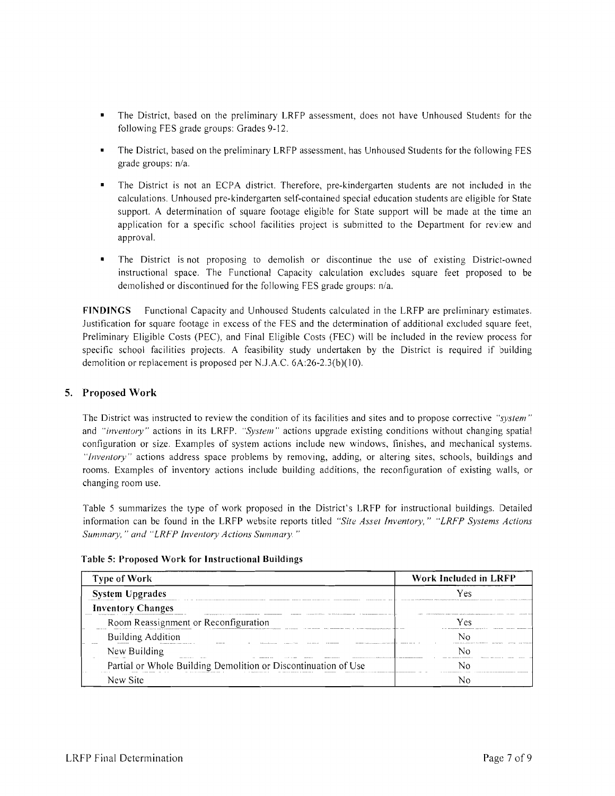- The District, based on the preliminary LRFP assessment, does not have Unhoused Students for the following FES grade groups: Grades 9-12.
- The District, based on the preliminary LRFP assessment, has Unhoused Students for the following FES grade groups: n/a.
- The District is not an ECPA district. Therefore, pre-kindergarten students are not included in the calculations. Unhoused pre-kindergarten self-contained special education students are eligible for State support. A determination of square footage eligible for State support will be made at the time an application for a specific school facilities project is submitted to the Department for review and approval.
- The District is not proposing to demolish or discontinue the use of existing District-owned instructional space. The Functional Capacity calculation excludes square feet proposed to be demolished or discontinued for the following FES grade groups: n/a.

**FINDINGS** Functional Capacity and Unhoused Students calculated in the LRFP are preliminary estimates. Justification for square footage in excess of the FES and the determination of additional excluded square feet, Preliminary Eligible Costs (PEC), and Final Eligible Costs (FEC) will be included in the review process for specific school facilities projects. A feasibility study undertaken by the District is required if building demolition or replacement is proposed per N.J.A.C. 6A:26-2.3(b)(10).

# **5. Proposed Work**

The District was instructed to review the condition of its facilities and sites and to propose corrective *"system"*  and *"inventory"* actions in its LRFP. *"System"* actions upgrade existing conditions without changing spatial configuration or size. Examples of system actions include new windows, finishes, and mechanical systems. *"Inventory"* actions address space problems by removing, adding, or altering sites, schools, buildings and rooms. Examples of inventory actions include building additions, the reconfiguration of existing walls, or changing room use.

Table *5* summarizes the type of work proposed in the District's LRFP for instructional buildings. Detailed information can be found in the LRFP website reports titled *"Site Asset Inventory," "LRFP Systems Actions Summary," and "LRFP Inventory Actions Summary"* 

| <b>Type of Work</b>                                                                                       | Work Included in LRFP |
|-----------------------------------------------------------------------------------------------------------|-----------------------|
| <b>System Upgrades</b>                                                                                    | ە /                   |
| <b>Inventory Changes</b><br><b></b>                                                                       |                       |
| Room Reassignment or Reconfiguration                                                                      |                       |
| <b>Building Addition</b><br><br><b>Elizabeth Announcement Communities</b>                                 |                       |
| New Building                                                                                              | . <b>.</b> .          |
| Partial or Whole Building Demolition or Discontinuation of Use<br>the concernations and concernations and |                       |
| New Site.                                                                                                 |                       |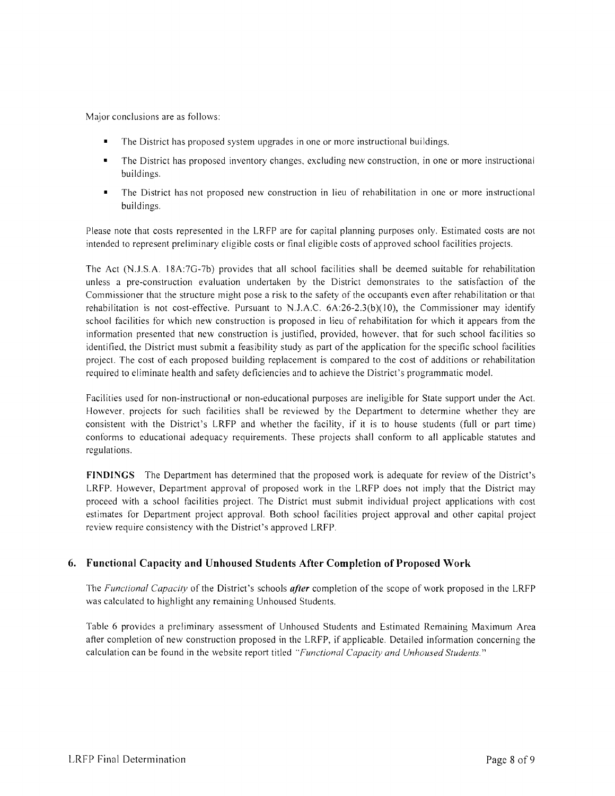Major conclusions are as follows:

- The District has proposed system upgrades in one or more instructional buildings.
- The District has proposed inventory changes, excluding new construction, in one or more instructional buildings.
- The District has not proposed new construction in lieu of rehabilitation in one or more instructional buildings.

Please note that costs represented in the LRFP are for capital planning purposes only. Estimated costs are not intended to represent preliminary eligible costs or final eligible costs of approved school facilities projects.

The Act (N.J.S.A. l8A:7G-7b) provides that all school facilities shall be deemed suitable for rehabilitation unless a pre-construction evaluation undertaken by the District demonstrates to the satisfaction of the Commissioner that the structure might pose a risk to the safety of the occupants even after rehabilitation or that rehabilitation is not cost-effective. Pursuant to N.J.A.C.  $6A:26-2.3(b)(10)$ , the Commissioner may identify school facilities for which new construction is proposed in lieu of rehabilitation for which it appears from the information presented that new construction is justified, provided, however, that for such school facilities so identified, the District must submit a feasibility study as part of the application for the specific school facilities project. The cost of each proposed building replacement is compared to the cost of additions or rehabilitation required to eliminate health and safety deficiencies and to achieve the District's programmatic model.

Facilities used for non-instructional or non-educational purposes are ineligible for State support under the Act. However, projects for such facilities shall be reviewed by the Department to determine whether they are consistent with the District's LRFP and whether the facility, if it is to house students (full or part time) conforms to educational adequacy requirements. These projects shall conform to all applicable statutes and regulations.

**FINDINGS** The Department has determined that the proposed work is adequate for review of the District's LRFP. However, Department approval of proposed work in the LRFP does not imply that the District may proceed with a school facilities project. The District must submit individual project applications with cost estimates for Department project approval. Both school facilities project approval and other capital project review require consistency with the District's approved LRFP.

# **6. Functional Capacity and Unhoused Students After Completion of Proposed Work**

The *Functional Capacity* of the District's schools *after* completion of the scope of work proposed in the LRFP was calculated to highlight any remaining Unhoused Students.

Table 6 provides a preliminary assessment of Unhoused Students and Estimated Remaining Maximum Area after completion of new construction proposed in the LRFP, if applicable. Detailed information concerning the calculation can be found in the website report titled *"Functional Capacity and Unhoused Students."*